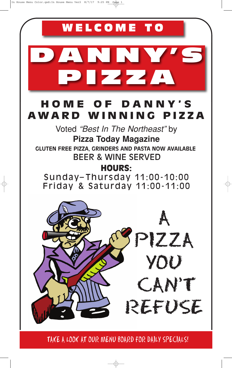

TAKE A LOOK AT OUR MENU BOARD FOR DAILY SPECIALS!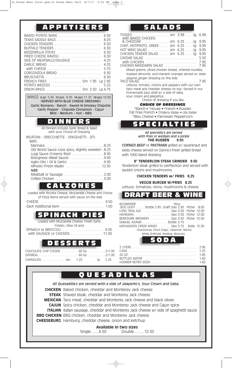# **A P P E T I Z E R S S A L A D S**

| BAKED POTATO SKINS<br>6.50<br>8.25<br>6.50<br>CHICKEN TENDERS<br>6.50<br>6.50                                                                                                                                              |  |
|----------------------------------------------------------------------------------------------------------------------------------------------------------------------------------------------------------------------------|--|
| FRIED CHEESE RAVIOLI<br>6.50<br>4.25<br>SIDE OF MEATBALLS/SAUSAGE                                                                                                                                                          |  |
| 4.25<br>5.75<br>6.50<br>GORGONZOLA BREAD<br>6.50<br>FRENCH FRIES Sm 1.95 Lg<br>2.95<br>5.25<br>4.75                                                                                                                        |  |
| WINGS 6 pc 5.95 10 pcs 8.95 14 pcs 11.25 18 pcs 13.95<br>(SERVED WITH BLUE CHEESE DRESSING)<br>Garlic Romano - Ranch - Sweet-N-Smokey Chipotle<br>Garlic Pepper - Chipotle Cinnamon - Cajun<br>Mild - Medium - $Hot - BBO$ |  |
| NERS                                                                                                                                                                                                                       |  |

All Dinners Include Garlic Bread & Salad with your Choice of Dressing

RIGATONI - ORECCHIETTE - SPAGEHETTI - ZITI:

| With ·                                               |
|------------------------------------------------------|
|                                                      |
| 01d World Sauce (Less spicy, slightly sweeter) .8.25 |
| Luigi Sauce (Creamy Red) 8.95                        |
| Bolognese (Meat Sauce) 9.95                          |
|                                                      |
| Alfredo (Fresh Made) 12.95                           |
| Add:                                                 |
| Meatball or Sausage 2.00                             |
|                                                      |
|                                                      |

### **C A L Z O N E S**

| Loaded with Ricotta Cheese, Mozzarella Cheese and Choice |  |
|----------------------------------------------------------|--|
| of Pizza Items served with sauce on the side             |  |
|                                                          |  |
|                                                          |  |

**S P I N A C H P IES**

| Loaded with Mozzarella Cheese, Fresh Garlic, |  |
|----------------------------------------------|--|
| Potato, Olive Oil and:                       |  |
| SPINACH or BROCCOLI  9.50                    |  |
| with SAUSAGE or CHICKEN 11.00                |  |

# **<sup>S</sup> <sup>O</sup> <sup>D</sup> <sup>A</sup> <sup>D</sup> <sup>E</sup> <sup>S</sup> <sup>S</sup> <sup>E</sup> <sup>R</sup> <sup>T</sup> <sup>S</sup>**

| CHOCOLATE CHIP COOKIE 60 Ea 2/1.00 |  |  |
|------------------------------------|--|--|
|                                    |  |  |
|                                    |  |  |

| TOSSED<br>3.99<br>6.99<br>$\ldots$ lg<br>.SM                                                                                                                                                                                                                                                                                                                                                                                                                                                                                                                                                                               |
|----------------------------------------------------------------------------------------------------------------------------------------------------------------------------------------------------------------------------------------------------------------------------------------------------------------------------------------------------------------------------------------------------------------------------------------------------------------------------------------------------------------------------------------------------------------------------------------------------------------------------|
| with BAKED CHICKEN<br>& CHEDDAR 5m 6.25<br>9.95<br>.lg<br>CHEF, ANTIPASTO, GREEK sm 6.25<br>9.95<br>$\ldots$ lg<br>HOT WING SALAD sm 6.25<br>9.95<br>.lg<br>CHICKEN TENDER SALAD sm 6.25<br>9.95<br>$\ldots$ . lg<br>5.50<br>7.95<br>CHICKEN MANDARIN SALAD<br>7.95<br>Mixed greens, sliced chicken breast, oriental noodles,<br>toasted almonds, and manarin oranges served w/asian<br>sesame ginger dressing on the side<br>TACO SALAD<br>Lettuce, tomato, onions and peppers with our own<br>taco meat and cheddar cheese on top. Served in our<br>homemade taco shell w/ a side of salsa,<br>sour cream and jalepeños. |
| Choice of dressing if you like.                                                                                                                                                                                                                                                                                                                                                                                                                                                                                                                                                                                            |
| <b>CHOICE OF DRESSINGS</b><br>*Ranch • *House • French • Russian<br>Fat Free French • Creamy Italian • Lite Italian<br>*Bleu Cheese • Parmesan Peppercorn                                                                                                                                                                                                                                                                                                                                                                                                                                                                  |
| $\mathbf{I}$                                                                                                                                                                                                                                                                                                                                                                                                                                                                                                                                                                                                               |
| All specialty's are served<br>with fries or wedges and a pickle<br><b>THE RUEBEN</b><br>9.50<br><b>CORNED BEEF</b> or <b>PASTRAMI</b> grilled w/ sauerkraut and<br>swiss cheese served on Danny's fresh grilled bread<br>with 1000 island dressing                                                                                                                                                                                                                                                                                                                                                                         |
| 8" TENDERLOIN STEAK GRINDER 9.50<br>Tenderloin steak grilled to perfiection and served with<br>sautéd onions and mushrooms.                                                                                                                                                                                                                                                                                                                                                                                                                                                                                                |
| <b>CHICKEN TENDERS W/ FRIES</b><br>8.25                                                                                                                                                                                                                                                                                                                                                                                                                                                                                                                                                                                    |
| <b>VEGGIE BURGER W/FRIES</b><br>8.25<br>Lettuce, tomatoes, nions, mushrooms & cheese                                                                                                                                                                                                                                                                                                                                                                                                                                                                                                                                       |
| AFT BEER &                                                                                                                                                                                                                                                                                                                                                                                                                                                                                                                                                                                                                 |
| 160z<br><b>BUDWEISER</b><br>BUD LIGHT Bottle 2.95 . Draft Glass 2.95 . Pitcher<br>8.00<br>LONG TRAIL ALE Glass 3.50 . Pitcher<br>12.00<br>BERKSHIRE BREWERY Glass 3.50 . Pitcher 12.00<br>SAMUEL ADAMS Bottle 3.75<br>NATHANSON CREEK WINES Glass 3.75 . Bottle 12.50<br>Chardonnay, Pinot Grigio, Cabernet, Merlot,<br>White Zinfindel, Reisling, Moscoto                                                                                                                                                                                                                                                                 |



T

|                                                                                             | QUESADILLAS                                                                  |  |  |
|---------------------------------------------------------------------------------------------|------------------------------------------------------------------------------|--|--|
|                                                                                             | All Quesadilla's are served with a side of Jalapeño's, Sour Cream and Salsa. |  |  |
|                                                                                             | <b>CHICKEN</b> Baked chicken, cheddar and Monterey Jack cheese               |  |  |
| <b>STEAK</b> Shaved steak, cheddar and Monterey Jack cheese                                 |                                                                              |  |  |
| <b>MEXICAN</b> Taco meat, cheddar and Monterey Jack cheese and black olives                 |                                                                              |  |  |
| <b>CAJUN</b> Spicy chicken, cheddar and Monterey Jack cheese and Cajun spice                |                                                                              |  |  |
| <b>ITALIAN</b> Italian sausage, cheddar and Monterey Jack cheese w/ side of spaghetti sauce |                                                                              |  |  |
| <b>BBQ CHICKEN</b> BBQ chicken, cheddar and Monterey Jack cheese                            |                                                                              |  |  |
| <b>CHEESEBURG</b> Hamburg, cheddar cheese, onion and ketchup                                |                                                                              |  |  |
| Available in two sizes                                                                      |                                                                              |  |  |
|                                                                                             | Single6.50<br>Double12.50                                                    |  |  |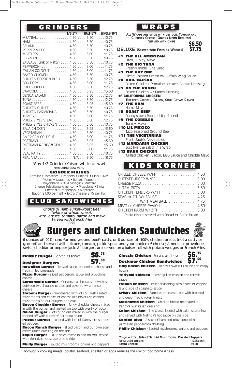### **G R I N D E R S**

|                                         | 1/3(5") HALF(8") WHOLE(16") |                  |
|-----------------------------------------|-----------------------------|------------------|
| MEATBALL 4.50 5.50 10.75                |                             |                  |
| HAM                                     |                             |                  |
| SALAMI 4.50 5.50 10.75                  |                             |                  |
| PEPPER & EGG 4.50 5.50                  |                             | $\ldots$ 10.75   |
| MEATLESS 4.50 6.00 11.75                |                             |                  |
| EGGPLANT 4.50 5.50 10.75                |                             |                  |
| SAUSAGE (Link or Patty) 4.50 5.50 10.75 |                             |                  |
| PEPPERONI4.506.0011.75                  |                             |                  |
| ITALIAN COLDCUT 4.50 6.00 11.75         |                             |                  |
| BAKED CHICKEN 4.50 5.50 10.75           |                             |                  |
| CHICKEN CORDON BLEU 4.50 6.50 12.75     |                             |                  |
| BBQ PORK 4.50 6.00 11.75                |                             |                  |
| CHEESBURGER 4.50 6.50 12.75             |                             |                  |
| CAPICOLA 4.50 6.95                      |                             | 1360             |
| GENOA SALAMI 4.50 6.50                  |                             | $\ldots$ 12.75   |
|                                         |                             |                  |
| ROAST BEEF 4.50 6.95                    |                             | 13.60            |
| CHICKEN CUTLET 4.50 5.50                |                             | $\ldots$ .10.75  |
| CHICKEN PARMIGIANA 4.50 5.50 10.75      |                             |                  |
| TURKEY 4.50 6.00                        |                             | $\ldots$ 11.75   |
| PHILLY STYLE STEAK 4.50 6.50 12.75      |                             |                  |
| PHILLY STYLE CHICKEN 4.50 5.50 10.75    |                             |                  |
| BAJA CHICKEN 4.50 6.95                  |                             | $\ldots$ .13.60  |
| VEGETARIAN 4.50 5.50                    |                             | $\ldots$ . 10.75 |
| AMERICAN COLDCUT 4.50 6.00              |                             | 11 75            |
| PASTRAMI                                |                             |                  |
| PASTRAMI REUBEN STYLE 4.50 6.95 13.60   |                             |                  |
| RIT                                     |                             |                  |
| VEAL PATTY 4.50 5.50 10.75              |                             |                  |
| REAL VEAL N/A 9.50 18.75                |                             |                  |

#### \*Any 1/3 Grinder (Kaiser, white or ww) \*excluding REAL VEAL

**GRINDER FIXINGS**

Lettuce • Tomatoes • Peppers • Onions • Black Olives Pickles • Jalapenos • Banana Peppers Mayonnaise • Oil & Vinegar • Mustard Cheese Selections: American • Provolone • Swiss Cheddar • Pepperjack • Monterey Bacon \$1.00 per half • Extra Cheese \$.75 per half

## **C L U B S A N D W I C H E S**

*Choice of Ham-Turkey-Roast Beef (white or whole wheat) with lettuce, tomato, bacon and mayo Served with french fries* **8.25**

# **W R A P S**

**ALL WRAPS ARE MADE WITH LETTUCE, TOMATO AND CHEDDAR CHEESE (ONIONS UPON REQUEST) SERVED WITH CHIPS \$6.50**

**DELUXE {SERVED WITH FRIES OR WEDGES) \$7.75**

- **#1 THE ALL AMERICAN**
- Ham, Turkey, Mayo
- **#2 THE BIG TUNA** Freshly made Tuna Salad
- **#3 THE HOT ONE**
- Sliced Chicken Breast w/ Buffalo Wing Sauce **#4 HAIL CAESAR**
- Baked Chicken, Romaine Lettuce, Caesar Dressing **#5 ON THE RANCH**
	- Baked Chicken w/ Ranch Dressing
- **#6 CALIFORNIA CHICKEN**
- BREADED CHICKEN, BACON, SOUR CREAM RANCH **#7 THE HAM**
- Ham, Mayo
- **#8 ROAST BEEF**
- Danny's own Roasted Top Round
- **#9 THE GOBBLER**
- Turkey, Mayo
- **#10 LIL MEXICO** Taco Seasoned Ground Beef
- **#11 THE VEGETARIAN**

### Fresh Sautéd Vegetables

- **#12 MANDARIN CHICKEN** Just like the salad, in a Wrap
- **#13 BAHA CHICKEN**
	- Grilled Chicken, Bacon, BBQ Sauce and Chipltle Mayo

**K I D S K O R N E R**

| GRILLED CHEESE W/FF  4.50                      |      |
|------------------------------------------------|------|
| CHEESEBURGER W/FF  5.00                        |      |
| CHEESE PIZZA                                   | 5.00 |
|                                                |      |
| CHICKEN TENDERS W/FF  5.00                     |      |
|                                                |      |
| W/ 1 MEATBALL  4.75                            |      |
|                                                |      |
|                                                |      |
| Pasta dishes served with Bread or Garlic Bread |      |



**Burgers and Chicken Sandwiches**

6 ounces of 90% hand formed ground beef\* patty, or 6 ounces of 100% chicken breast (not a patty or ground) and served with lettuce, tomato, pickle spear and your choice of cheese; American, provolone, swiss, cheddar or pepper jack. All burgers are served on a kaiser roll with potato wedges or french fries.

**Classic Burger**- Served as above **\$6.**



#### **Designer** Burgers

**Hawaiian Burger** - Teriyaki sauce, pepperjack cheese and fresh grilled pineapple

**Pizza Burger** - sliced pepperoni, sauce and provolone cheese

**Gorgonzola Burger** - Gorgonzola cheese, sandwiches between two 3 ounce patties and covered w/ american cheese

**Shroom Burger** - Smothered with lots of fresh sautéd mushrooms and choice of cheese (we never use canned mushrooms on our burgers or pizza)

**Bacon Cheddar Burger** - Tangy cheddar cheese mixed in with the burger and melted on top with plenty of bacon **Onion Burger** - Lots of onions mixed in with the burger topped off with a slice of Bermuda onion

**Pepper Burger** - Loaded with lots of Danny's fresh roasted peppers

**Bacon Ranch Burger** - Sliced bacon and our own sour cream ranch dressing on the side

**Cajun Burger** - Cajun spice mixed in and on top, served with Melinda's hot sauce on the side

**Philly Burger** - Sautéd mushrooms, onions and peppers

**Classic Chicken**- Served as above



**Designer Chicken Sandwiches BBQ Bacon Chicken** - Danny's own BBQ sauce and crispy bacon

**Teriyaki Chicken** - Fresh grilled chicken and teriyaki sauce

**Italian Chicken** - Italian seasoning with a slice of cappicola and side of spaghetti sauce

**Crispy Chicken** - Same as the classic, but with breaded and deep fried chicken breast

**Marinated Chicken** - Chicken breast marinated in Danny's own italian dressing

**Cajun Chicken** - The Classic loaded with cajun seasoning and served with Melinda's hot sauce on the side

**Cordon Bleu** - A slice of ham and provolone with parmesan peppercorn dressing

**Philly Chicken** - Sautéd mushrooms, onions and peppers

**To go with's...Side of Sautéd Mushrooms, Roasted Peppers or Sautéd Onions \$.75each Extra** Cheese

\*Thoroughly cooking meats, poultry, seafood, shellfish or eggs reduces the risk of food borne illness.